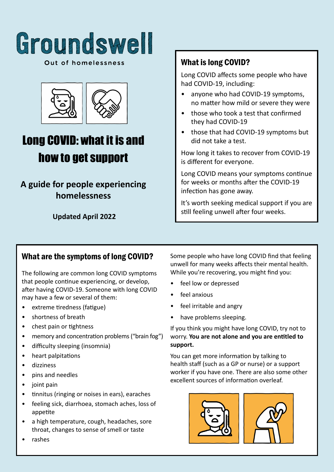

Out of homelessness



# Long COVID: what it is and how to get support

# **A guide for people experiencing homelessness**

**Updated April 2022**

# What is long COVID?

Long COVID affects some people who have had COVID-19, including:

- anyone who had COVID-19 symptoms, no matter how mild or severe they were
- those who took a test that confirmed they had COVID-19
- those that had COVID-19 symptoms but did not take a test.

How long it takes to recover from COVID-19 is different for everyone.

Long COVID means your symptoms continue for weeks or months after the COVID-19 infection has gone away.

It's worth seeking medical support if you are still feeling unwell after four weeks.

# What are the symptoms of long COVID?

The following are common long COVID symptoms that people continue experiencing, or develop, after having COVID-19. Someone with long COVID may have a few or several of them:

- extreme tiredness (fatigue)
- shortness of breath
- chest pain or tightness
- memory and concentration problems ("brain fog")
- difficulty sleeping (insomnia)
- heart palpitations
- dizziness
- pins and needles
- joint pain
- tinnitus (ringing or noises in ears), earaches
- **•** feeling sick, diarrhoea, stomach aches, loss of appetite appetite
- a high temperature, cough, headaches, sore throat, changes to sense of smell or taste

Some people who have long COVID find that feeling unwell for many weeks affects their mental health. While you're recovering, you might find you:

- feel low or depressed
- feel anxious
- feel irritable and angry
- have problems sleeping.

If you think you might have long COVID, try not to worry. **You are not alone and you are entitled to support.** 

**G<sup>r</sup>ound<sup>s</sup>wel<sup>l</sup>** excellent sources of information overleaf. You can get more information by talking to health staff (such as a GP or nurse) or a support worker if you have one. There are also some other





• rashes